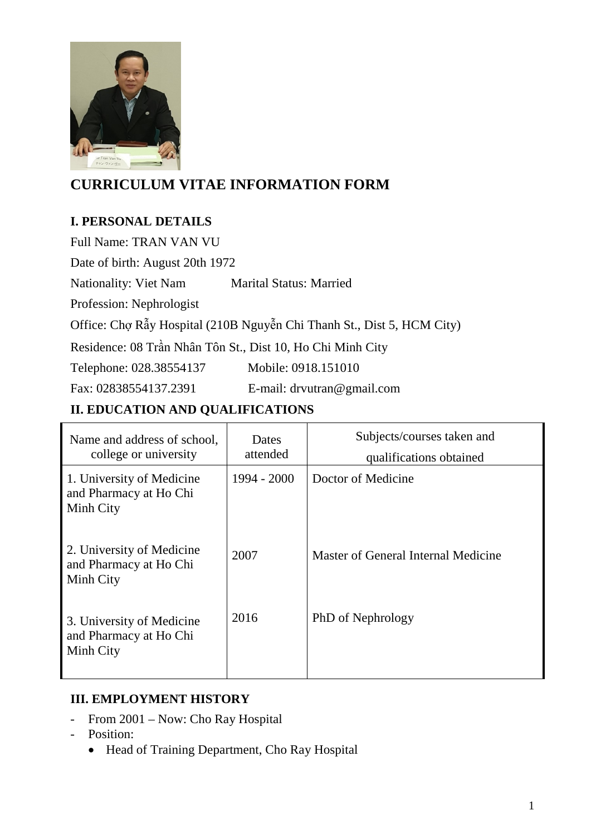

# **CURRICULUM VITAE INFORMATION FORM**

### **I. PERSONAL DETAILS**

Full Name: TRAN VAN VU

Date of birth: August 20th 1972

Nationality: Viet Nam Marital Status: Married

Profession: Nephrologist

Office: Chợ Rẫy Hospital (210B Nguyễn Chi Thanh St., Dist 5, HCM City)

Residence: 08 Trần Nhân Tôn St., Dist 10, Ho Chi Minh City

Telephone: 028.38554137 Mobile: 0918.151010

Fax: 02838554137.2391 E-mail: drvutran@gmail.com

### **II. EDUCATION AND QUALIFICATIONS**

| Name and address of school,<br>college or university             | Dates<br>attended | Subjects/courses taken and<br>qualifications obtained |
|------------------------------------------------------------------|-------------------|-------------------------------------------------------|
| 1. University of Medicine<br>and Pharmacy at Ho Chi<br>Minh City | $1994 - 2000$     | Doctor of Medicine                                    |
| 2. University of Medicine<br>and Pharmacy at Ho Chi<br>Minh City | 2007              | Master of General Internal Medicine                   |
| 3. University of Medicine<br>and Pharmacy at Ho Chi<br>Minh City | 2016              | PhD of Nephrology                                     |

#### **III. EMPLOYMENT HISTORY**

- From 2001 Now: Cho Ray Hospital
- Position:
	- Head of Training Department, Cho Ray Hospital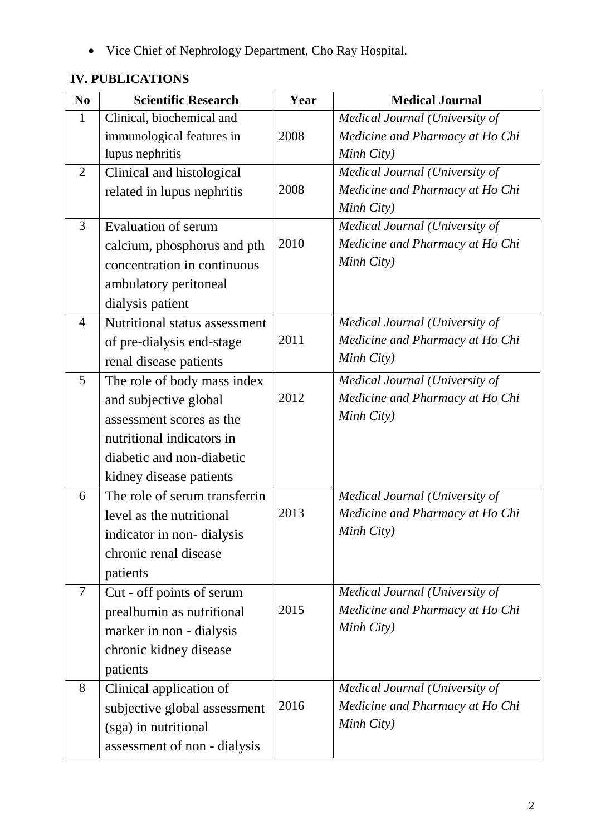• Vice Chief of Nephrology Department, Cho Ray Hospital.

# **IV. PUBLICATIONS**

| N <sub>0</sub> | <b>Scientific Research</b>    | Year | <b>Medical Journal</b>          |
|----------------|-------------------------------|------|---------------------------------|
| $\mathbf{1}$   | Clinical, biochemical and     |      | Medical Journal (University of  |
|                | immunological features in     | 2008 | Medicine and Pharmacy at Ho Chi |
|                | lupus nephritis               |      | Minh City)                      |
| 2              | Clinical and histological     |      | Medical Journal (University of  |
|                | related in lupus nephritis    | 2008 | Medicine and Pharmacy at Ho Chi |
|                |                               |      | Minh City)                      |
| $\overline{3}$ | <b>Evaluation of serum</b>    |      | Medical Journal (University of  |
|                | calcium, phosphorus and pth   | 2010 | Medicine and Pharmacy at Ho Chi |
|                | concentration in continuous   |      | Minh City)                      |
|                | ambulatory peritoneal         |      |                                 |
|                | dialysis patient              |      |                                 |
| $\overline{4}$ | Nutritional status assessment |      | Medical Journal (University of  |
|                | of pre-dialysis end-stage     | 2011 | Medicine and Pharmacy at Ho Chi |
|                | renal disease patients        |      | Minh City)                      |
| 5              | The role of body mass index   |      | Medical Journal (University of  |
|                | and subjective global         | 2012 | Medicine and Pharmacy at Ho Chi |
|                | assessment scores as the      |      | Minh City)                      |
|                | nutritional indicators in     |      |                                 |
|                | diabetic and non-diabetic     |      |                                 |
|                | kidney disease patients       |      |                                 |
| 6              | The role of serum transferrin |      | Medical Journal (University of  |
|                | level as the nutritional      | 2013 | Medicine and Pharmacy at Ho Chi |
|                | indicator in non-dialysis     |      | Minh City)                      |
|                | chronic renal disease         |      |                                 |
|                | patients                      |      |                                 |
| 7              | Cut - off points of serum     |      | Medical Journal (University of  |
|                | prealbumin as nutritional     | 2015 | Medicine and Pharmacy at Ho Chi |
|                | marker in non - dialysis      |      | Minh City)                      |
|                | chronic kidney disease        |      |                                 |
|                | patients                      |      |                                 |
| 8              |                               |      | Medical Journal (University of  |
|                | Clinical application of       | 2016 | Medicine and Pharmacy at Ho Chi |
|                | subjective global assessment  |      | Minh City)                      |
|                | (sga) in nutritional          |      |                                 |
|                | assessment of non - dialysis  |      |                                 |